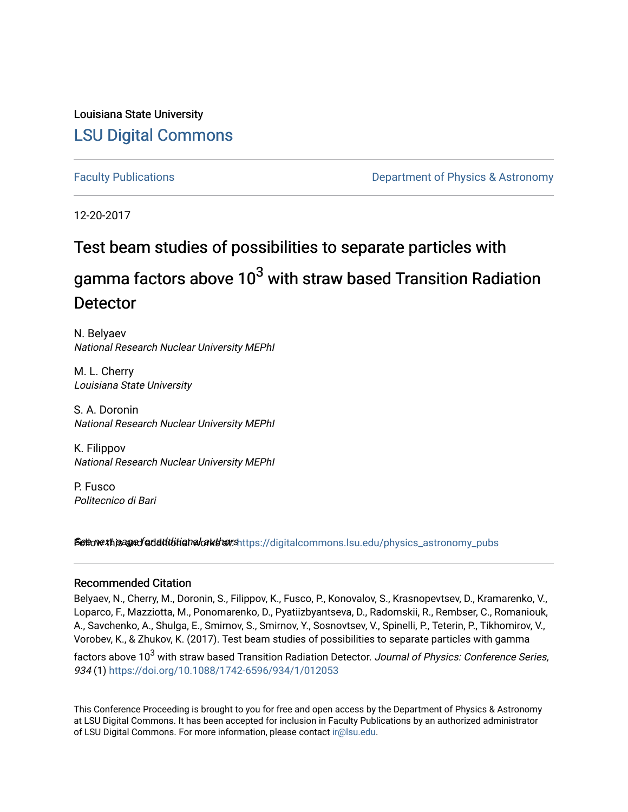Louisiana State University [LSU Digital Commons](https://digitalcommons.lsu.edu/)

[Faculty Publications](https://digitalcommons.lsu.edu/physics_astronomy_pubs) **Example 2** Constant Department of Physics & Astronomy

12-20-2017

# Test beam studies of possibilities to separate particles with gamma factors above  $10^3$  with straw based Transition Radiation **Detector**

N. Belyaev National Research Nuclear University MEPhI

M. L. Cherry Louisiana State University

S. A. Doronin National Research Nuclear University MEPhI

K. Filippov National Research Nuclear University MEPhI

P. Fusco Politecnico di Bari

Settow this aged additional authors https://digitalcommons.lsu.edu/physics\_astronomy\_pubs

### Recommended Citation

Belyaev, N., Cherry, M., Doronin, S., Filippov, K., Fusco, P., Konovalov, S., Krasnopevtsev, D., Kramarenko, V., Loparco, F., Mazziotta, M., Ponomarenko, D., Pyatiizbyantseva, D., Radomskii, R., Rembser, C., Romaniouk, A., Savchenko, A., Shulga, E., Smirnov, S., Smirnov, Y., Sosnovtsev, V., Spinelli, P., Teterin, P., Tikhomirov, V., Vorobev, K., & Zhukov, K. (2017). Test beam studies of possibilities to separate particles with gamma

factors above 10<sup>3</sup> with straw based Transition Radiation Detector. Journal of Physics: Conference Series, 934 (1)<https://doi.org/10.1088/1742-6596/934/1/012053>

This Conference Proceeding is brought to you for free and open access by the Department of Physics & Astronomy at LSU Digital Commons. It has been accepted for inclusion in Faculty Publications by an authorized administrator of LSU Digital Commons. For more information, please contact [ir@lsu.edu](mailto:ir@lsu.edu).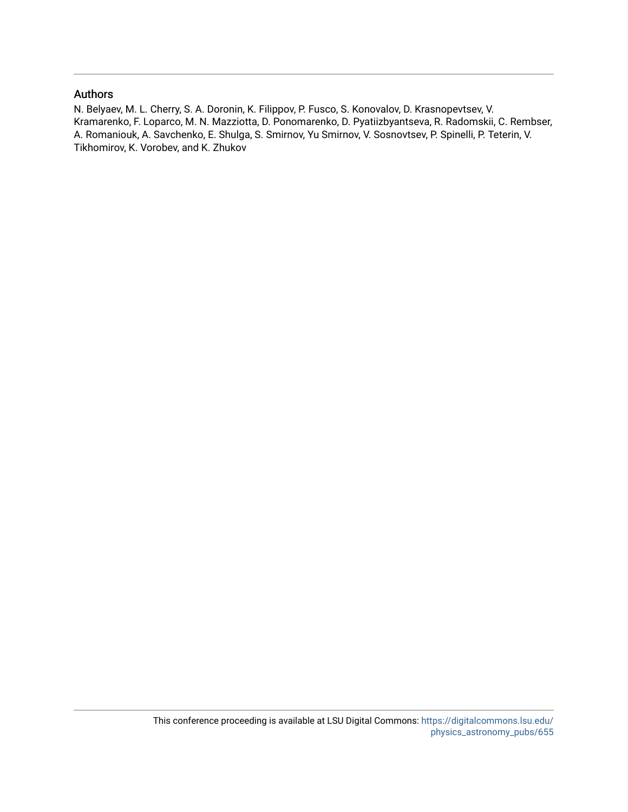### Authors

N. Belyaev, M. L. Cherry, S. A. Doronin, K. Filippov, P. Fusco, S. Konovalov, D. Krasnopevtsev, V. Kramarenko, F. Loparco, M. N. Mazziotta, D. Ponomarenko, D. Pyatiizbyantseva, R. Radomskii, C. Rembser, A. Romaniouk, A. Savchenko, E. Shulga, S. Smirnov, Yu Smirnov, V. Sosnovtsev, P. Spinelli, P. Teterin, V. Tikhomirov, K. Vorobev, and K. Zhukov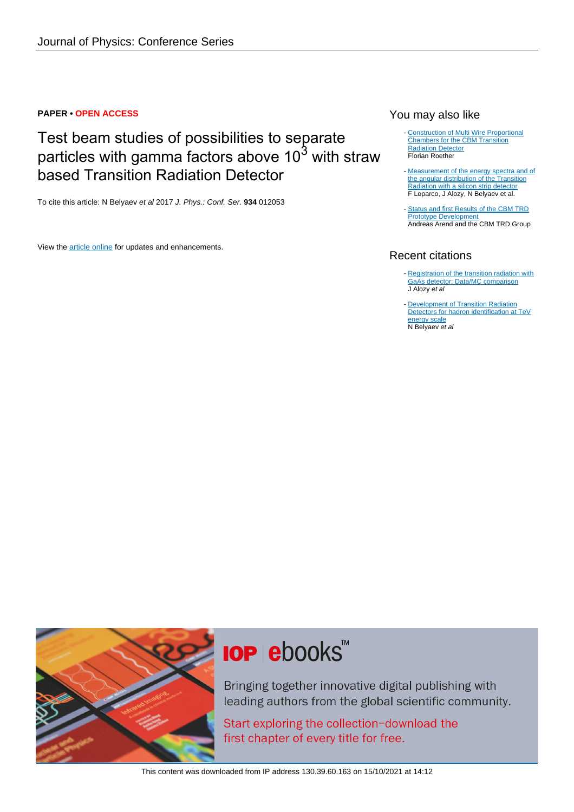### **PAPER • OPEN ACCESS**

## Test beam studies of possibilities to separate particles with gamma factors above  $10^3$  with straw based Transition Radiation Detector

To cite this article: N Belyaev et al 2017 J. Phys.: Conf. Ser. **934** 012053

View the [article online](https://doi.org/10.1088/1742-6596/934/1/012053) for updates and enhancements.

### You may also like

- [Construction of Multi Wire Proportional](/article/10.1088/1742-6596/1024/1/012040) [Chambers for the CBM Transition](/article/10.1088/1742-6596/1024/1/012040) **[Radiation Detector](/article/10.1088/1742-6596/1024/1/012040)** Florian Roether
- [Measurement of the energy spectra and of](/article/10.1088/1742-6596/1390/1/012115) [the angular distribution of the Transition](/article/10.1088/1742-6596/1390/1/012115) [Radiation with a silicon strip detector](/article/10.1088/1742-6596/1390/1/012115) F Loparco, J Alozy, N Belyaev et al.
- [Status and first Results of the CBM TRD](/article/10.1088/1742-6596/426/1/012022) [Prototype Development](/article/10.1088/1742-6596/426/1/012022) Andreas Arend and the CBM TRD Group

### Recent citations

- [Registration of the transition radiation with](http://iopscience.iop.org/1742-6596/1690/1/012041) [GaAs detector: Data/MC comparison](http://iopscience.iop.org/1742-6596/1690/1/012041) J Alozy et al
- **[Development of Transition Radiation](http://iopscience.iop.org/1742-6596/1390/1/012126)** [Detectors for hadron identification at TeV](http://iopscience.iop.org/1742-6596/1390/1/012126) [energy scale](http://iopscience.iop.org/1742-6596/1390/1/012126) N Belyaev et al -



# **IOP ebooks**™

Bringing together innovative digital publishing with leading authors from the global scientific community.

Start exploring the collection-download the first chapter of every title for free.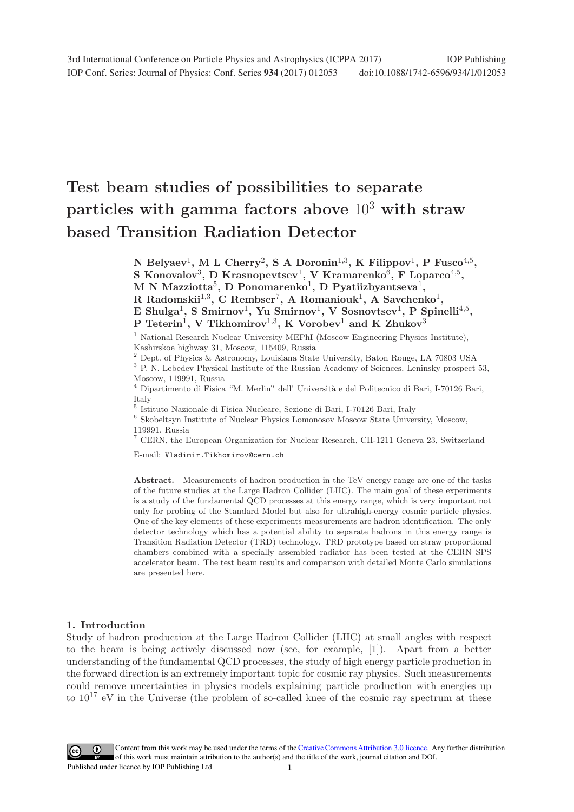# **Test beam studies of possibilities to separate particles with gamma factors above** 10<sup>3</sup> **with straw based Transition Radiation Detector**

**N** Belyaev<sup>1</sup>, **M** L Cherry<sup>2</sup>, **S A** Doronin<sup>1,3</sup>, **K** Filippov<sup>1</sup>, **P** Fusco<sup>4,5</sup>, **S Konovalov**3**, D Krasnopevtsev**1**, V Kramarenko**6**, F Loparco**4,5**, M N Mazziotta**5**, D Ponomarenko**1**, D Pyatiizbyantseva**1**, R Radomskii**1,3**, C Rembser**7**, A Romaniouk**1**, A Savchenko**1**, E Shulga**1**, S Smirnov**1**, Yu Smirnov**1**, V Sosnovtsev**1**, P Spinelli**4,5**, P Teterin**1**, V Tikhomirov**1,3**, K Vorobev**<sup>1</sup> **and K Zhukov**<sup>3</sup>

<sup>1</sup> National Research Nuclear University MEPhI (Moscow Engineering Physics Institute), Kashirskoe highway 31, Moscow, 115409, Russia

<sup>2</sup> Dept. of Physics & Astronomy, Louisiana State University, Baton Rouge, LA 70803 USA  $^3$  P. N. Lebedev Physical Institute of the Russian Academy of Sciences, Leninsky prospect 53,

Moscow, 119991, Russia

 $^4$  Dipartimento di Fisica "M. Merlin" dell' Università e del Politecnico di Bari, I-70126 Bari, Italy

 $^5$ Istituto Nazionale di Fisica Nucleare, Sezione di Bari, I-70126 Bari, Italy $^6$ Skobeltsyn Institute of Nuclear Physics Lomonosov Moscow State University, Moscow, 119991, Russia

<sup>7</sup> CERN, the European Organization for Nuclear Research, CH-1211 Geneva 23, Switzerland

E-mail: Vladimir.Tikhomirov@cern.ch

**Abstract.** Measurements of hadron production in the TeV energy range are one of the tasks of the future studies at the Large Hadron Collider (LHC). The main goal of these experiments is a study of the fundamental QCD processes at this energy range, which is very important not only for probing of the Standard Model but also for ultrahigh-energy cosmic particle physics. One of the key elements of these experiments measurements are hadron identification. The only detector technology which has a potential ability to separate hadrons in this energy range is Transition Radiation Detector (TRD) technology. TRD prototype based on straw proportional chambers combined with a specially assembled radiator has been tested at the CERN SPS accelerator beam. The test beam results and comparison with detailed Monte Carlo simulations are presented here.

### **1. Introduction**

Study of hadron production at the Large Hadron Collider (LHC) at small angles with respect to the beam is being actively discussed now (see, for example, [1]). Apart from a better understanding of the fundamental QCD processes, the study of high energy particle production in the forward direction is an extremely important topic for cosmic ray physics. Such measurements could remove uncertainties in physics models explaining particle production with energies up to  $10^{17}$  eV in the Universe (the problem of so-called knee of the cosmic ray spectrum at these

1 Content from this work may be used under the terms of the[Creative Commons Attribution 3.0 licence.](http://creativecommons.org/licenses/by/3.0) Any further distribution of this work must maintain attribution to the author(s) and the title of the work, journal citation and DOI. Published under licence by IOP Publishing Ltd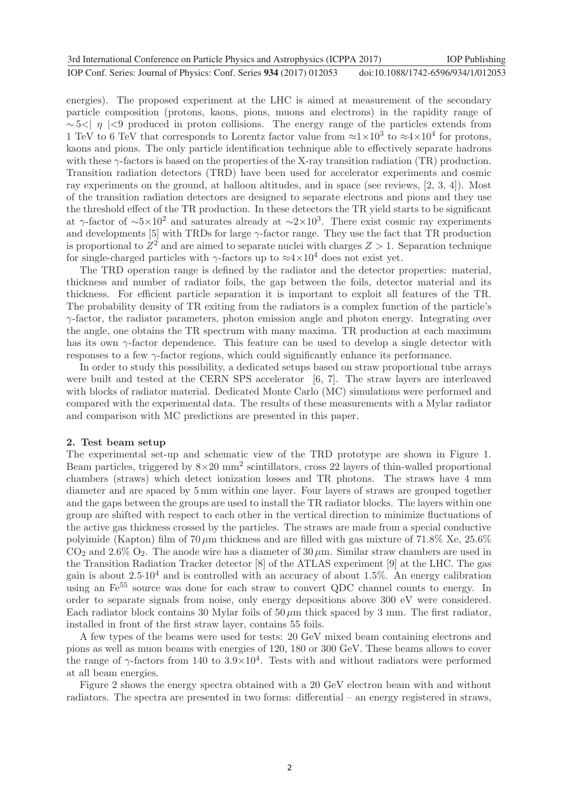| 3rd International Conference on Particle Physics and Astrophysics (ICPPA 2017) | <b>IOP</b> Publishing              |
|--------------------------------------------------------------------------------|------------------------------------|
| IOP Conf. Series: Journal of Physics: Conf. Series 934 (2017) 012053           | doi:10.1088/1742-6596/934/1/012053 |

energies). The proposed experiment at the LHC is aimed at measurement of the secondary particle composition (protons, kaons, pions, muons and electrons) in the rapidity range of  $\sim$  5 \cdots |  $\eta$  | \cdots of in proton collisions. The energy range of the particles extends from 1 TeV to 6 TeV that corresponds to Lorentz factor value from  $\approx 1 \times 10^3$  to  $\approx 4 \times 10^4$  for protons, kaons and pions. The only particle identification technique able to effectively separate hadrons with these  $\gamma$ -factors is based on the properties of the X-ray transition radiation (TR) production. Transition radiation detectors (TRD) have been used for accelerator experiments and cosmic ray experiments on the ground, at balloon altitudes, and in space (see reviews, [2, 3, 4]). Most of the transition radiation detectors are designed to separate electrons and pions and they use the threshold effect of the TR production. In these detectors the TR yield starts to be significant at γ-factor of  $\sim 5 \times 10^2$  and saturates already at  $\sim 2 \times 10^3$ . There exist cosmic ray experiments and developments [5] with TRDs for large  $\gamma$ -factor range. They use the fact that TR production is proportional to  $Z^2$  and are aimed to separate nuclei with charges  $Z > 1$ . Separation technique for single-charged particles with  $\gamma$ -factors up to  $\approx 4 \times 10^4$  does not exist yet.

The TRD operation range is defined by the radiator and the detector properties: material, thickness and number of radiator foils, the gap between the foils, detector material and its thickness. For efficient particle separation it is important to exploit all features of the TR. The probability density of TR exiting from the radiators is a complex function of the particle's  $\gamma$ -factor, the radiator parameters, photon emission angle and photon energy. Integrating over the angle, one obtains the TR spectrum with many maxima. TR production at each maximum has its own  $\gamma$ -factor dependence. This feature can be used to develop a single detector with responses to a few γ-factor regions, which could significantly enhance its performance.

In order to study this possibility, a dedicated setups based on straw proportional tube arrays were built and tested at the CERN SPS accelerator [6, 7]. The straw layers are interleaved with blocks of radiator material. Dedicated Monte Carlo (MC) simulations were performed and compared with the experimental data. The results of these measurements with a Mylar radiator and comparison with MC predictions are presented in this paper.

### **2. Test beam setup**

The experimental set-up and schematic view of the TRD prototype are shown in Figure 1. Beam particles, triggered by  $8\times20$  mm<sup>2</sup> scintillators, cross 22 layers of thin-walled proportional chambers (straws) which detect ionization losses and TR photons. The straws have 4 mm diameter and are spaced by 5 mm within one layer. Four layers of straws are grouped together and the gaps between the groups are used to install the TR radiator blocks. The layers within one group are shifted with respect to each other in the vertical direction to minimize fluctuations of the active gas thickness crossed by the particles. The straws are made from a special conductive polyimide (Kapton) film of  $70 \mu m$  thickness and are filled with gas mixture of  $71.8\%$  Xe,  $25.6\%$  $CO<sub>2</sub>$  and  $2.6\%$   $O<sub>2</sub>$ . The anode wire has a diameter of  $30 \mu$ m. Similar straw chambers are used in the Transition Radiation Tracker detector [8] of the ATLAS experiment [9] at the LHC. The gas gain is about  $2.5 \cdot 10^4$  and is controlled with an accuracy of about 1.5%. An energy calibration using an  $\mathrm{Fe}^{55}$  source was done for each straw to convert QDC channel counts to energy. In order to separate signals from noise, only energy depositions above 300 eV were considered. Each radiator block contains 30 Mylar foils of  $50 \,\mu m$  thick spaced by 3 mm. The first radiator, installed in front of the first straw layer, contains 55 foils.

A few types of the beams were used for tests: 20 GeV mixed beam containing electrons and pions as well as muon beams with energies of 120, 180 or 300 GeV. These beams allows to cover the range of  $\gamma$ -factors from 140 to  $3.9 \times 10^4$ . Tests with and without radiators were performed at all beam energies.

Figure 2 shows the energy spectra obtained with a 20 GeV electron beam with and without radiators. The spectra are presented in two forms: differential – an energy registered in straws,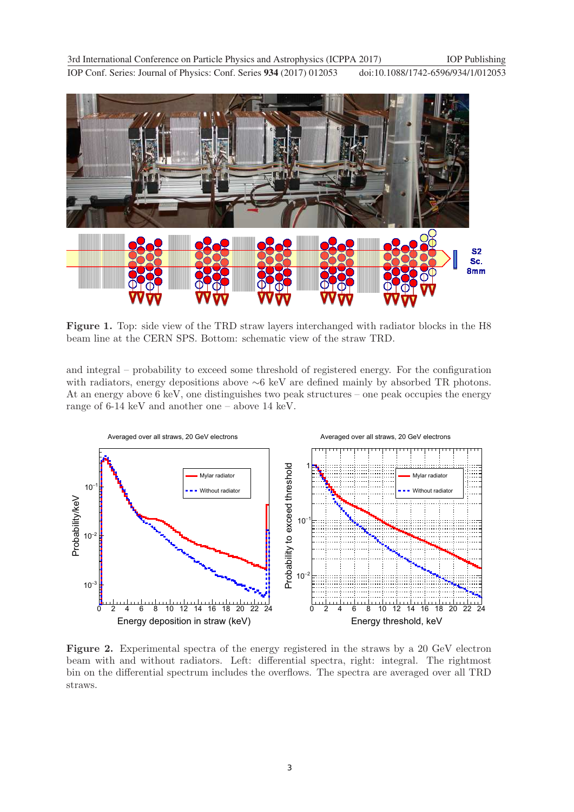**1234567890** IOP Conf. Series: Journal of Physics: Conf. Series **934** (2017) 012053 doi :10.1088/1742-6596/934/1/012053 3rd International Conference on Particle Physics and Astrophysics (ICPPA 2017) IOP Publishing



**Figure 1.** Top: side view of the TRD straw layers interchanged with radiator blocks in the H8 beam line at the CERN SPS. Bottom: schematic view of the straw TRD.

and integral – probability to exceed some threshold of registered energy. For the configuration with radiators, energy depositions above ∼6 keV are defined mainly by absorbed TR photons. At an energy above 6 keV, one distinguishes two peak structures – one peak occupies the energy range of 6-14 keV and another one – above 14 keV.



**Figure 2.** Experimental spectra of the energy registered in the straws by a 20 GeV electron beam with and without radiators. Left: differential spectra, right: integral. The rightmost bin on the differential spectrum includes the overflows. The spectra are averaged over all TRD straws.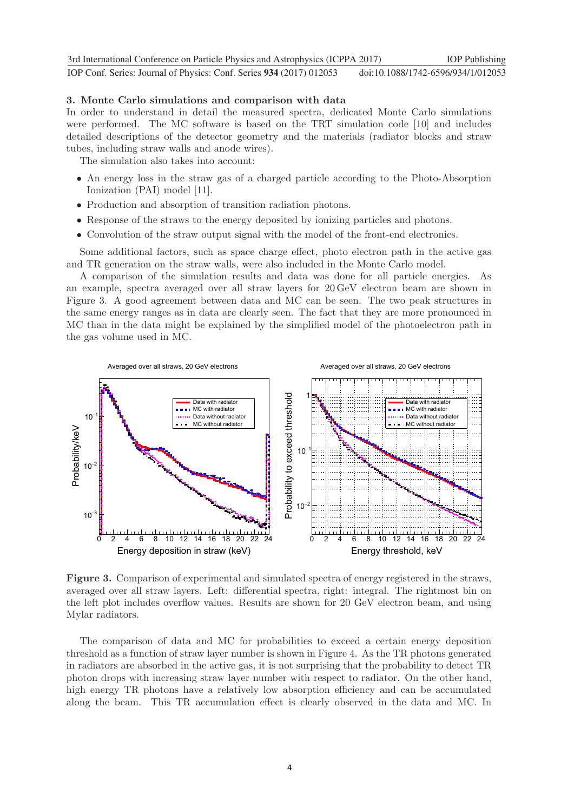**1234567890** IOP Conf. Series: Journal of Physics: Conf. Series **934** (2017) 012053 doi :10.1088/1742-6596/934/1/012053 3rd International Conference on Particle Physics and Astrophysics (ICPPA 2017) IOP Publishing

### **3. Monte Carlo simulations and comparison with data**

In order to understand in detail the measured spectra, dedicated Monte Carlo simulations were performed. The MC software is based on the TRT simulation code [10] and includes detailed descriptions of the detector geometry and the materials (radiator blocks and straw tubes, including straw walls and anode wires).

The simulation also takes into account:

- An energy loss in the straw gas of a charged particle according to the Photo-Absorption Ionization (PAI) model [11].
- Production and absorption of transition radiation photons.
- Response of the straws to the energy deposited by ionizing particles and photons.
- Convolution of the straw output signal with the model of the front-end electronics.

Some additional factors, such as space charge effect, photo electron path in the active gas and TR generation on the straw walls, were also included in the Monte Carlo model.

A comparison of the simulation results and data was done for all particle energies. As an example, spectra averaged over all straw layers for 20 GeV electron beam are shown in Figure 3. A good agreement between data and MC can be seen. The two peak structures in the same energy ranges as in data are clearly seen. The fact that they are more pronounced in MC than in the data might be explained by the simplified model of the photoelectron path in the gas volume used in MC.



**Figure 3.** Comparison of experimental and simulated spectra of energy registered in the straws, averaged over all straw layers. Left: differential spectra, right: integral. The rightmost bin on the left plot includes overflow values. Results are shown for 20 GeV electron beam, and using Mylar radiators.

The comparison of data and MC for probabilities to exceed a certain energy deposition threshold as a function of straw layer number is shown in Figure 4. As the TR photons generated in radiators are absorbed in the active gas, it is not surprising that the probability to detect TR photon drops with increasing straw layer number with respect to radiator. On the other hand, high energy TR photons have a relatively low absorption efficiency and can be accumulated along the beam. This TR accumulation effect is clearly observed in the data and MC. In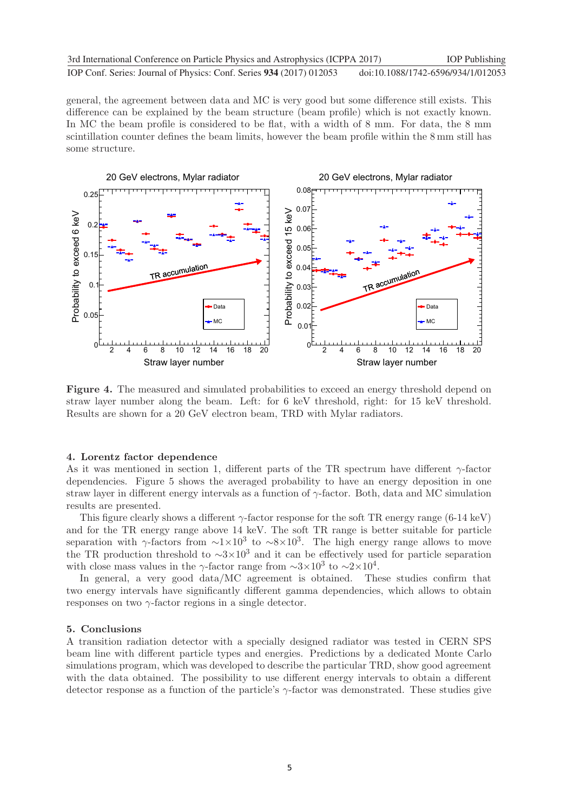general, the agreement between data and MC is very good but some difference still exists. This difference can be explained by the beam structure (beam profile) which is not exactly known. In MC the beam profile is considered to be flat, with a width of 8 mm. For data, the 8 mm scintillation counter defines the beam limits, however the beam profile within the 8 mm still has some structure.



**Figure 4.** The measured and simulated probabilities to exceed an energy threshold depend on straw layer number along the beam. Left: for 6 keV threshold, right: for 15 keV threshold. Results are shown for a 20 GeV electron beam, TRD with Mylar radiators.

#### **4. Lorentz factor dependence**

As it was mentioned in section 1, different parts of the TR spectrum have different  $\gamma$ -factor dependencies. Figure 5 shows the averaged probability to have an energy deposition in one straw layer in different energy intervals as a function of  $\gamma$ -factor. Both, data and MC simulation results are presented.

This figure clearly shows a different  $\gamma$ -factor response for the soft TR energy range (6-14 keV) and for the TR energy range above 14 keV. The soft TR range is better suitable for particle separation with γ-factors from  $\sim 1 \times 10^3$  to  $\sim 8 \times 10^3$ . The high energy range allows to move the TR production threshold to  $\sim 3 \times 10^3$  and it can be effectively used for particle separation with close mass values in the γ-factor range from  $\sim 3 \times 10^3$  to  $\sim 2 \times 10^4$ .

In general, a very good data/MC agreement is obtained. These studies confirm that two energy intervals have significantly different gamma dependencies, which allows to obtain responses on two  $\gamma$ -factor regions in a single detector.

### **5. Conclusions**

A transition radiation detector with a specially designed radiator was tested in CERN SPS beam line with different particle types and energies. Predictions by a dedicated Monte Carlo simulations program, which was developed to describe the particular TRD, show good agreement with the data obtained. The possibility to use different energy intervals to obtain a different detector response as a function of the particle's  $\gamma$ -factor was demonstrated. These studies give